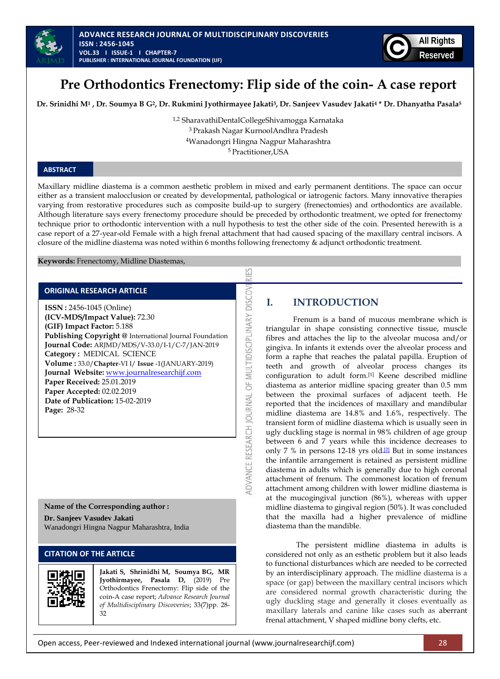



# **Pre Orthodontics Frenectomy: Flip side of the coin- A case report**

Dr. Srinidhi M<sup>1</sup>, Dr. Soumya B G<sup>2</sup>, Dr. Rukmini Jyothirmayee Jakati<sup>3</sup>, Dr. Sanjeev Vasudev Jakati<sup>4</sup> \* Dr. Dhanyatha Pasala<sup>5</sup>

1,2 SharavathiDentalCollegeShivamogga Karnataka Prakash Nagar KurnoolAndhra Pradesh Wanadongri Hingna Nagpur Maharashtra Practitioner,USA

### **ABSTRACT**

Maxillary midline diastema is a common aesthetic problem in mixed and early permanent dentitions. The space can occur either as a transient malocclusion or created by developmental, pathological or iatrogenic factors. Many innovative therapies varying from restorative procedures such as composite build-up to surgery (frenectomies) and orthodontics are available. Although literature says every frenectomy procedure should be preceded by orthodontic treatment, we opted for frenectomy technique prior to orthodontic intervention with a null hypothesis to test the other side of the coin. Presented herewith is a case report of a 27-year-old Female with a high frenal attachment that had caused spacing of the maxillary central incisors. A closure of the midline diastema was noted within 6 months following frenectomy & adjunct orthodontic treatment.

53

**DISCOV** 

DVANCE RESEARCH JOURNAL OF MULTIDISCIPLINARY

**Keywords:** Frenectomy, Midline Diastemas,

### **ORIGINAL RESEARCH ARTICLE**

**ISSN :** 2456-1045 (Online) **(ICV-MDS/Impact Value):** 72.30 **(GIF) Impact Factor:** 5.188 **Publishing Copyright @** International Journal Foundation **Journal Code:** ARJMD/MDS/V-33.0/I-1/C-7/JAN-2019 **Category :** MEDICAL SCIENCE **Volume :** 33.0/**Chapter**-VI I/ **Issue** -1(JANUARY-2019) **Journal Website:** [www.journalresearchijf.com](http://www.journalresearchijf.com/) **Paper Received:** 25.01.2019 **Paper Accepted:** 02.02.2019 **Date of Publication:** 15-02-2019 **Page:** 28-32

#### **Name of the Corresponding author :**

**Dr. Sanjeev Vasudev Jakati** Wanadongri Hingna Nagpur Maharashtra, India

# **CITATION OF THE ARTICLE**



**Jakati S, Shrinidhi M, Soumya BG, MR Jyothirmayee, Pasala D,** (2019) Pre Orthodontics Frenectomy: Flip side of the coin-A case report; *Advance Research Journal of Multidisciplinary Discoveries*; 33(7)pp. 28- 32

# **I. INTRODUCTION**

Frenum is a band of mucous membrane which is triangular in shape consisting connective tissue, muscle fibres and attaches the lip to the alveolar mucosa and/or gingiva. In infants it extends over the alveolar process and form a raphe that reaches the palatal papilla. Eruption of teeth and growth of alveolar process changes its configuration to adult form.[1] Keene described midline diastema as anterior midline spacing greater than 0.5 mm between the proximal surfaces of adjacent teeth. He reported that the incidences of maxillary and mandibular midline diastema are 14.8% and 1.6%, respectively. The transient form of midline diastema which is usually seen in ugly duckling stage is normal in 98% children of age group between 6 and 7 years while this incidence decreases to only 7 % in persons 12-18 yrs old $12$  But in some instances the infantile arrangement is retained as persistent midline diastema in adults which is generally due to high coronal attachment of frenum. The commonest location of frenum attachment among children with lower midline diastema is at the mucogingival junction (86%), whereas with upper midline diastema to gingival region (50%). It was concluded that the maxilla had a higher prevalence of midline diastema than the mandible.

The persistent midline diastema in adults is considered not only as an esthetic problem but it also leads to functional disturbances which are needed to be corrected by an interdisciplinary approach. The midline diastema is a space (or gap) between the maxillary central incisors which are considered normal growth characteristic during the ugly duckling stage and generally it closes eventually as maxillary laterals and canine like cases such as aberrant frenal attachment, V shaped midline bony clefts, etc.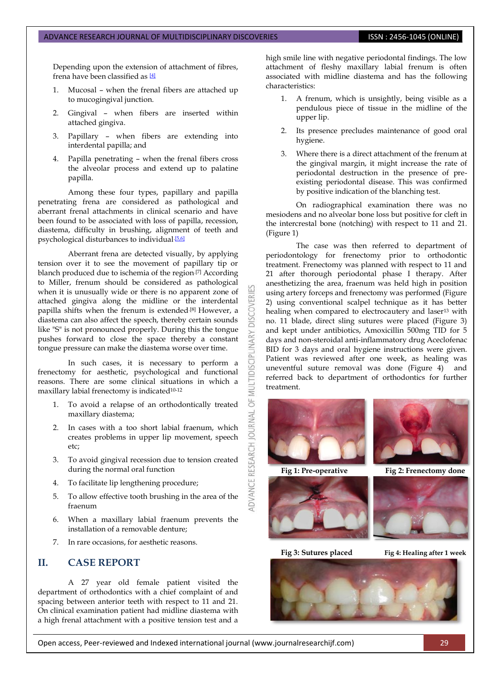Depending upon the extension of attachment of fibres, frena have been classified as [\[4\]](#page-3-0)

- 1. Mucosal when the frenal fibers are attached up to mucogingival junction.
- 2. Gingival when fibers are inserted within attached gingiva.
- 3. Papillary when fibers are extending into interdental papilla; and
- 4. Papilla penetrating when the frenal fibers cross the alveolar process and extend up to palatine papilla.

Among these four types, papillary and papilla penetrating frena are considered as pathological and aberrant frenal attachments in clinical scenario and have been found to be associated with loss of papilla, recession, diastema, difficulty in brushing, alignment of teeth and psychological disturbances to individual.<sup>[5,6]</sup>

Aberrant frena are detected visually, by applying tension over it to see the movement of papillary tip or blanch produced due to ischemia of the region.<sup>[7]</sup> According to Miller, frenum should be considered as pathological when it is unusually wide or there is no apparent zone of attached gingiva along the midline or the interdental papilla shifts when the frenum is extended.<sup>[8]</sup> However, a diastema can also affect the speech, thereby certain sounds like "S" is not pronounced properly. During this the tongue pushes forward to close the space thereby a constant tongue pressure can make the diastema worse over time.

In such cases, it is necessary to perform a frenectomy for aesthetic, psychological and functional reasons. There are some clinical situations in which a maxillary labial frenectomy is indicated<sup>10-12</sup>

- 1. To avoid a relapse of an orthodontically treated maxillary diastema;
- 2. In cases with a too short labial fraenum, which creates problems in upper lip movement, speech etc;
- 3. To avoid gingival recession due to tension created during the normal oral function
- 4. To facilitate lip lengthening procedure;
- 5. To allow effective tooth brushing in the area of the fraenum
- 6. When a maxillary labial fraenum prevents the installation of a removable denture;
- 7. In rare occasions, for aesthetic reasons.

# **II. CASE REPORT**

A 27 year old female patient visited the department of orthodontics with a chief complaint of and spacing between anterior teeth with respect to 11 and 21. On clinical examination patient had midline diastema with a high frenal attachment with a positive tension test and a

high smile line with negative periodontal findings. The low attachment of fleshy maxillary labial frenum is often associated with midline diastema and has the following characteristics:

- 1. A frenum, which is unsightly, being visible as a pendulous piece of tissue in the midline of the upper lip.
- 2. Its presence precludes maintenance of good oral hygiene.
- 3. Where there is a direct attachment of the frenum at the gingival margin, it might increase the rate of periodontal destruction in the presence of preexisting periodontal disease. This was confirmed by positive indication of the blanching test.

On radiographical examination there was no mesiodens and no alveolar bone loss but positive for cleft in the intercrestal bone (notching) with respect to 11 and 21. (Figure 1)

The case was then referred to department of periodontology for frenectomy prior to orthodontic treatment. Frenectomy was planned with respect to 11 and 21 after thorough periodontal phase I therapy. After anesthetizing the area, fraenum was held high in position using artery forceps and frenectomy was performed (Figure 2) using conventional scalpel technique as it has better healing when compared to electrocautery and laser<sup>13</sup> with no. 11 blade, direct sling sutures were placed (Figure 3) and kept under antibiotics, Amoxicillin 500mg TID for 5 days and non-steroidal anti-inflammatory drug Aceclofenac BID for 3 days and oral hygiene instructions were given. Patient was reviewed after one week, as healing was uneventful suture removal was done (Figure 4) and referred back to department of orthodontics for further treatment.



**DISCOVERI** 

INARY

IDISCIPLI

5

**JOURNAL** 

RESEARCH

ADVANCE





**Fig 1: Pre-operative** Fig 2: Frenectomy done



 **Fig 3: Sutures placed Fig 4: Healing after 1 week** 



Open access, Peer-reviewed and Indexed international journal (www.journalresearchijf.com) 29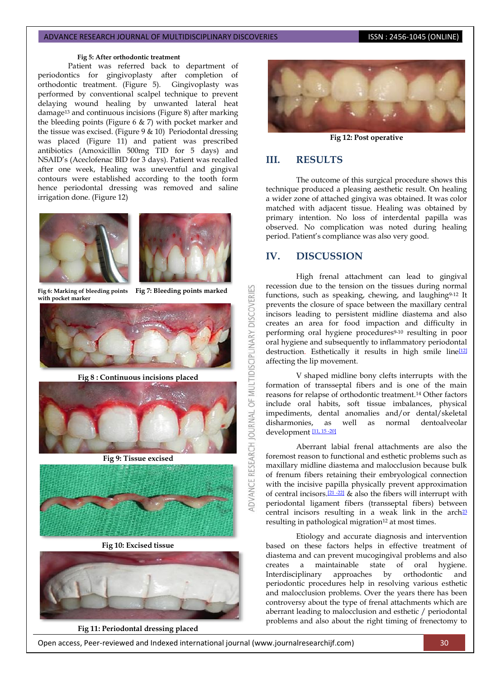#### **Fig 5: After orthodontic treatment**

Patient was referred back to department of periodontics for gingivoplasty after completion of orthodontic treatment. (Figure 5). Gingivoplasty was performed by conventional scalpel technique to prevent delaying wound healing by unwanted lateral heat damage<sup>13</sup> and continuous incisions (Figure 8) after marking the bleeding points (Figure 6 & 7) with pocket marker and the tissue was excised. (Figure  $9 \& 10$ ) Periodontal dressing was placed (Figure 11) and patient was prescribed antibiotics (Amoxicillin 500mg TID for 5 days) and NSAID's (Aceclofenac BID for 3 days). Patient was recalled after one week, Healing was uneventful and gingival contours were established according to the tooth form hence periodontal dressing was removed and saline irrigation done. (Figure 12)





**with pocket marker**

 **Fig 6: Marking of bleeding points Fig 7: Bleeding points marked**

OF MULTIDISCIPLINARY DISCOVERIES



**Fig 8 : Continuous incisions placed**



**Fig 9: Tissue excised**



**Fig 10: Excised tissue**



**Fig 11: Periodontal dressing placed**



**Fig 12: Post operative**

## **III. RESULTS**

The outcome of this surgical procedure shows this technique produced a pleasing aesthetic result. On healing a wider zone of attached gingiva was obtained. It was color matched with adjacent tissue. Healing was obtained by primary intention. No loss of interdental papilla was observed. No complication was noted during healing period. Patient's compliance was also very good.

# **IV. DISCUSSION**

High frenal attachment can lead to gingival recession due to the tension on the tissues during normal functions, such as speaking, chewing, and laughing<sup>9-12</sup> It prevents the closure of space between the maxillary central incisors leading to persistent midline diastema and also creates an area for food impaction and difficulty in performing oral hygiene procedures<sup>9-10</sup> resulting in poor oral hygiene and subsequently to inflammatory periodontal destruction. Esthetically it results in high smile line<sup>[\[12\]](#page-3-0)</sup> affecting the lip movement.

V shaped midline bony clefts interrupts with the formation of transseptal fibers and is one of the main reasons for relapse of orthodontic treatment.<sup>14</sup> Other factors include oral habits, soft tissue imbalances, physical impediments, dental anomalies and/or dental/skeletal disharmonies, as well as normal dentoalveolar development <u>[\[11, 15 -20\]](#page-3-0)</u>

Aberrant labial frenal attachments are also the foremost reason to functional and esthetic problems such as maxillary midline diastema and malocclusion because bulk of frenum fibers retaining their embryological connection with the incisive papilla physically prevent approximation of central incisors.[\[21 -22\]](#page-3-0) & also the fibers will interrupt with periodontal ligament fibers (transseptal fibers) between central incisors resulting in a weak link in the arch<sup>[23](#page-3-0)</sup> resulting in pathological migration<sup>12</sup> at most times.

Etiology and accurate diagnosis and intervention based on these factors helps in effective treatment of diastema and can prevent mucogingival problems and also creates a maintainable state of oral hygiene. Interdisciplinary approaches by orthodontic and periodontic procedures help in resolving various esthetic and malocclusion problems. Over the years there has been controversy about the type of frenal attachments which are aberrant leading to malocclusion and esthetic / periodontal problems and also about the right timing of frenectomy to

Open access, Peer-reviewed and Indexed international journal (www.journalresearchijf.com) 30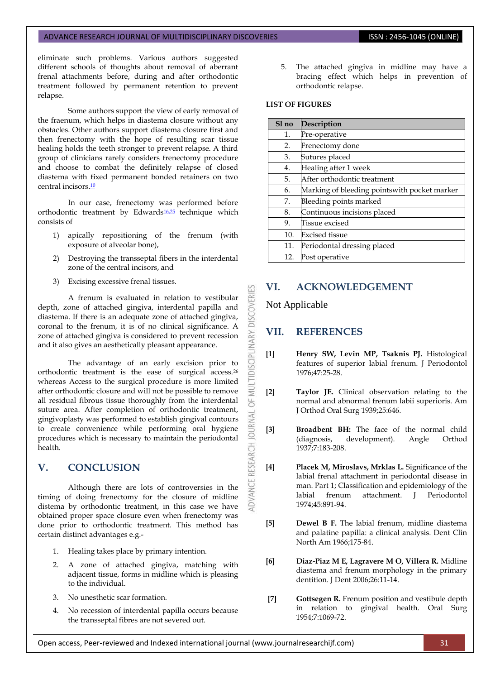eliminate such problems. Various authors suggested different schools of thoughts about removal of aberrant frenal attachments before, during and after orthodontic treatment followed by permanent retention to prevent relapse.

Some authors support the view of early removal of the fraenum, which helps in diastema closure without any obstacles. Other authors support diastema closure first and then frenectomy with the hope of resulting scar tissue healing holds the teeth stronger to prevent relapse. A third group of clinicians rarely considers frenectomy procedure and choose to combat the definitely relapse of closed diastema with fixed permanent bonded retainers on two central incisors.<sup>[10](#page-3-0)</sup>

In our case, frenectomy was performed before orthodontic treatment by Edwards[16,25](#page-3-0) technique which consists of

- 1) apically repositioning of the frenum (with exposure of alveolar bone),
- 2) Destroying the transseptal fibers in the interdental zone of the central incisors, and
- 3) Excising excessive frenal tissues.

A frenum is evaluated in relation to vestibular depth, zone of attached gingiva, interdental papilla and diastema. If there is an adequate zone of attached gingiva, coronal to the frenum, it is of no clinical significance. A zone of attached gingiva is considered to prevent recession and it also gives an aesthetically pleasant appearance.

The advantage of an early excision prior to orthodontic treatment is the ease of surgical access.<sup>26</sup> whereas Access to the surgical procedure is more limited after orthodontic closure and will not be possible to remove all residual fibrous tissue thoroughly from the interdental suture area. After completion of orthodontic treatment, gingivoplasty was performed to establish gingival contours to create convenience while performing oral hygiene procedures which is necessary to maintain the periodontal health.

# **V. CONCLUSION**

Although there are lots of controversies in the timing of doing frenectomy for the closure of midline distema by orthodontic treatment, in this case we have obtained proper space closure even when frenectomy was done prior to orthodontic treatment. This method has certain distinct advantages e.g.-

- 1. Healing takes place by primary intention.
- 2. A zone of attached gingiva, matching with adjacent tissue, forms in midline which is pleasing to the individual.
- 3. No unesthetic scar formation.
- 4. No recession of interdental papilla occurs because the transseptal fibres are not severed out.

5. The attached gingiva in midline may have a bracing effect which helps in prevention of orthodontic relapse.

### **LIST OF FIGURES**

| Sl no | Description                                  |
|-------|----------------------------------------------|
| 1.    | Pre-operative                                |
| 2.    | Frenectomy done                              |
| 3.    | Sutures placed                               |
| 4.    | Healing after 1 week                         |
| 5.    | After orthodontic treatment                  |
| 6.    | Marking of bleeding pointswith pocket marker |
| 7.    | Bleeding points marked                       |
| 8.    | Continuous incisions placed                  |
| 9.    | Tissue excised                               |
| 10.   | <b>Excised</b> tissue                        |
| 11.   | Periodontal dressing placed                  |
| 12.   | Post operative                               |

# **VI. ACKNOWLEDGEMENT**

## Not Applicable

53

**DISCOVER** 

**LTIDISCIPLINARY** 

WU 5F

RESEARCH JOURNAL

**DVANCE** 

# <span id="page-3-0"></span>**VII. REFERENCES**

- **[1] Henry SW, Levin MP, Tsaknis PJ.** Histological features of superior labial frenum. J Periodontol 1976;47:25-28.
- **[2] Taylor JE.** Clinical observation relating to the normal and abnormal frenum labii superioris. Am J Orthod Oral Surg 1939;25:646.
- **[3] Broadbent BH:** The face of the normal child (diagnosis, development). Angle Orthod 1937;7:183-208.
- **[4] Placek M, Miroslavs, Mrklas L.** Significance of the labial frenal attachment in periodontal disease in man. Part 1; Classification and epidemiology of the labial frenum attachment. J Periodontol 1974;45:891-94.
- **[5] Dewel B F.** The labial frenum, midline diastema and palatine papilla: a clinical analysis. Dent Clin North Am 1966;175-84.
- **[6] Diaz-Piaz M E, Lagravere M O, Villera R.** Midline diastema and frenum morphology in the primary dentition. J Dent 2006;26:11-14.
- **[7] Gottsegen R.** Frenum position and vestibule depth in relation to gingival health. Oral Surg 1954;7:1069-72.